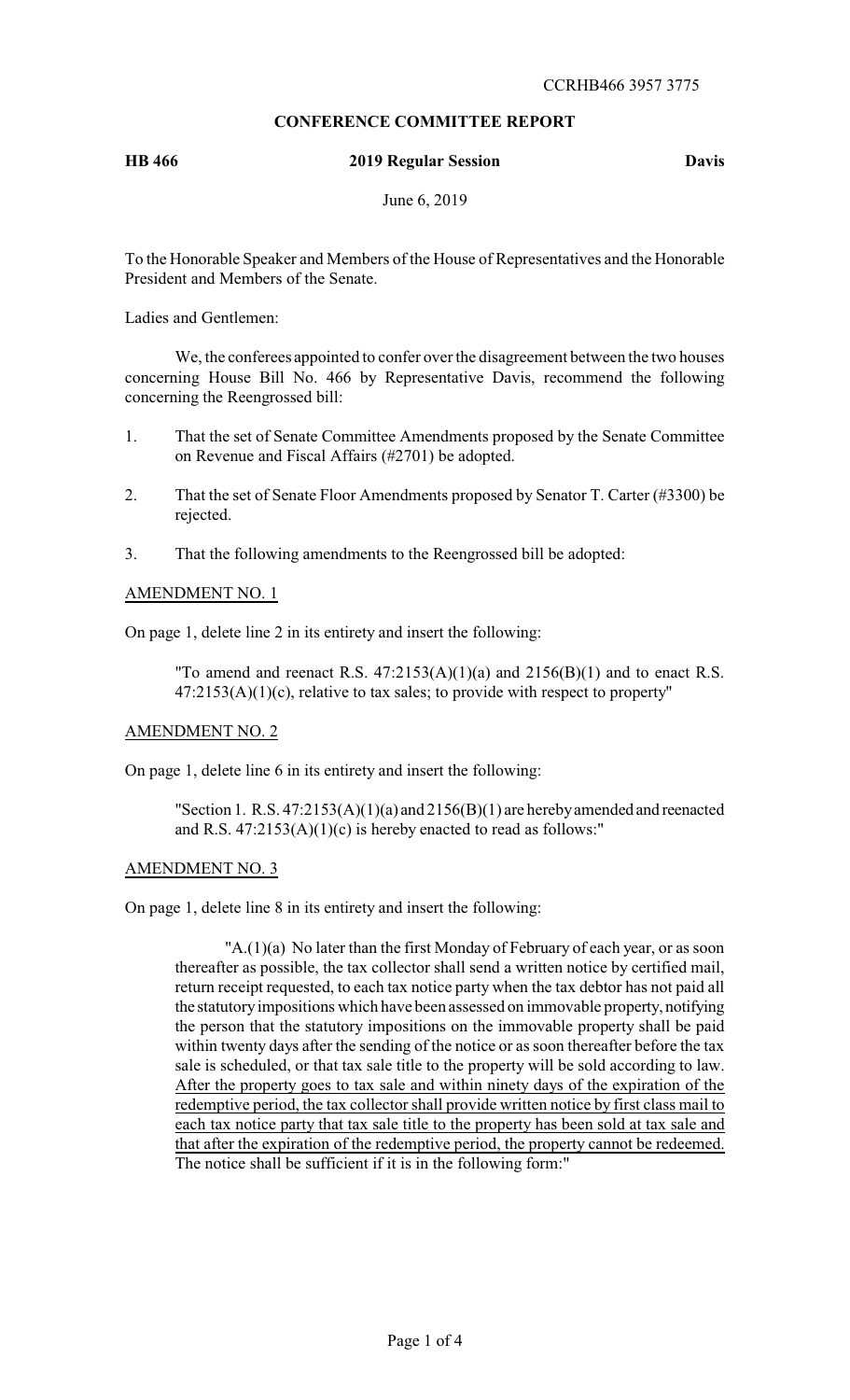# **CONFERENCE COMMITTEE REPORT**

# **HB 466 2019 Regular Session Davis**

June 6, 2019

To the Honorable Speaker and Members of the House of Representatives and the Honorable President and Members of the Senate.

Ladies and Gentlemen:

We, the conferees appointed to confer over the disagreement between the two houses concerning House Bill No. 466 by Representative Davis, recommend the following concerning the Reengrossed bill:

- 1. That the set of Senate Committee Amendments proposed by the Senate Committee on Revenue and Fiscal Affairs (#2701) be adopted.
- 2. That the set of Senate Floor Amendments proposed by Senator T. Carter (#3300) be rejected.
- 3. That the following amendments to the Reengrossed bill be adopted:

### AMENDMENT NO. 1

On page 1, delete line 2 in its entirety and insert the following:

"To amend and reenact R.S.  $47:2153(A)(1)(a)$  and  $2156(B)(1)$  and to enact R.S.  $47:2153(A)(1)(c)$ , relative to tax sales; to provide with respect to property"

### AMENDMENT NO. 2

On page 1, delete line 6 in its entirety and insert the following:

"Section 1. R.S. 47:2153(A)(1)(a) and 2156(B)(1) are herebyamended and reenacted and R.S.  $47:2153(A)(1)(c)$  is hereby enacted to read as follows:"

## AMENDMENT NO. 3

On page 1, delete line 8 in its entirety and insert the following:

 $'A.(1)(a)$  No later than the first Monday of February of each year, or as soon thereafter as possible, the tax collector shall send a written notice by certified mail, return receipt requested, to each tax notice party when the tax debtor has not paid all the statutoryimpositions which have been assessed on immovable property, notifying the person that the statutory impositions on the immovable property shall be paid within twenty days after the sending of the notice or as soon thereafter before the tax sale is scheduled, or that tax sale title to the property will be sold according to law. After the property goes to tax sale and within ninety days of the expiration of the redemptive period, the tax collector shall provide written notice by first class mail to each tax notice party that tax sale title to the property has been sold at tax sale and that after the expiration of the redemptive period, the property cannot be redeemed. The notice shall be sufficient if it is in the following form:"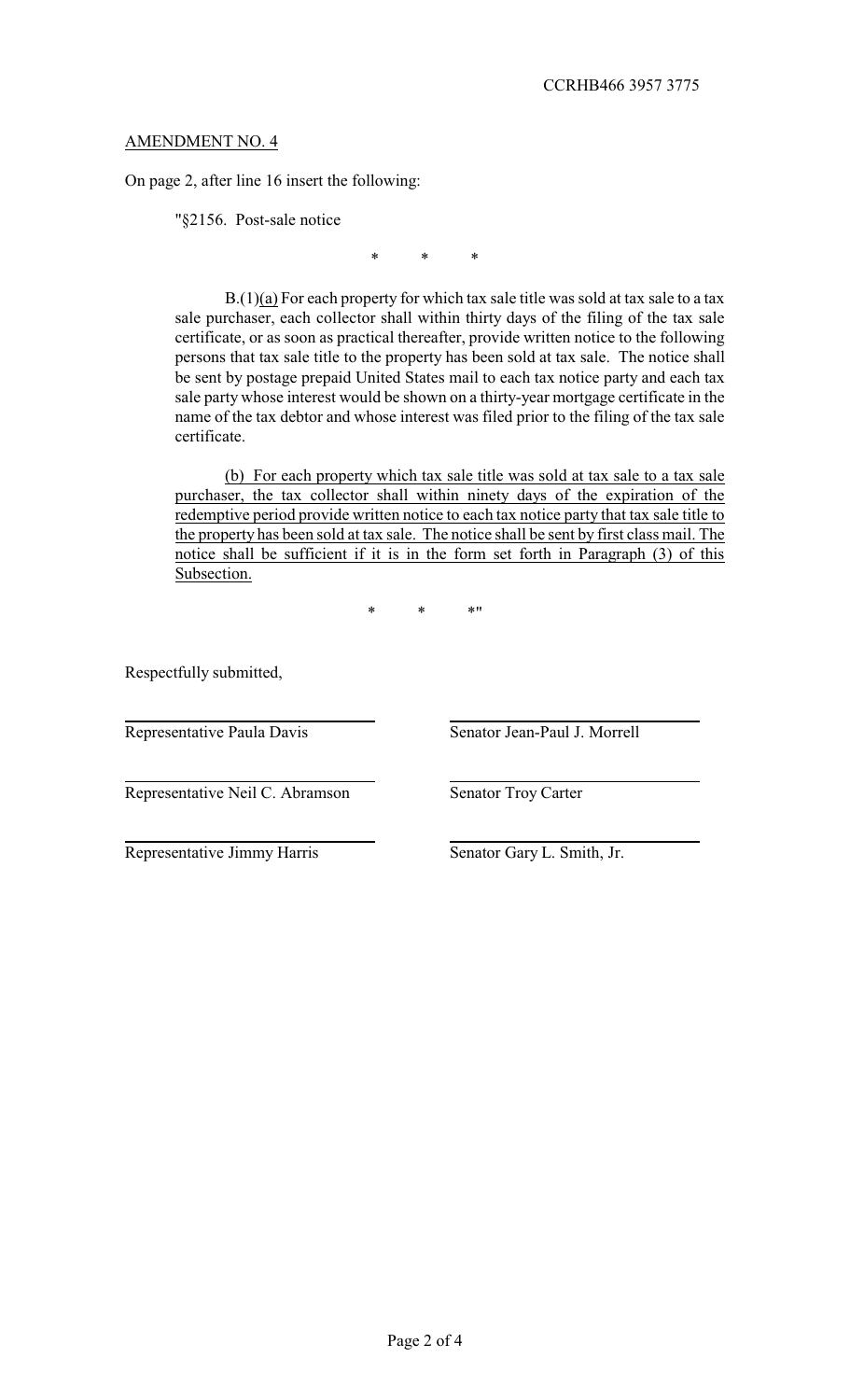## AMENDMENT NO. 4

On page 2, after line 16 insert the following:

"§2156. Post-sale notice

\* \* \*

 $B(1)(a)$  For each property for which tax sale title was sold at tax sale to a tax sale purchaser, each collector shall within thirty days of the filing of the tax sale certificate, or as soon as practical thereafter, provide written notice to the following persons that tax sale title to the property has been sold at tax sale. The notice shall be sent by postage prepaid United States mail to each tax notice party and each tax sale party whose interest would be shown on a thirty-year mortgage certificate in the name of the tax debtor and whose interest was filed prior to the filing of the tax sale certificate.

(b) For each property which tax sale title was sold at tax sale to a tax sale purchaser, the tax collector shall within ninety days of the expiration of the redemptive period provide written notice to each tax notice party that tax sale title to the property has been sold at tax sale. The notice shall be sent by first class mail. The notice shall be sufficient if it is in the form set forth in Paragraph (3) of this Subsection.

\* \* \*"

Respectfully submitted,

Representative Paula Davis Senator Jean-Paul J. Morrell

Representative Neil C. Abramson Senator Troy Carter

Representative Jimmy Harris Senator Gary L. Smith, Jr.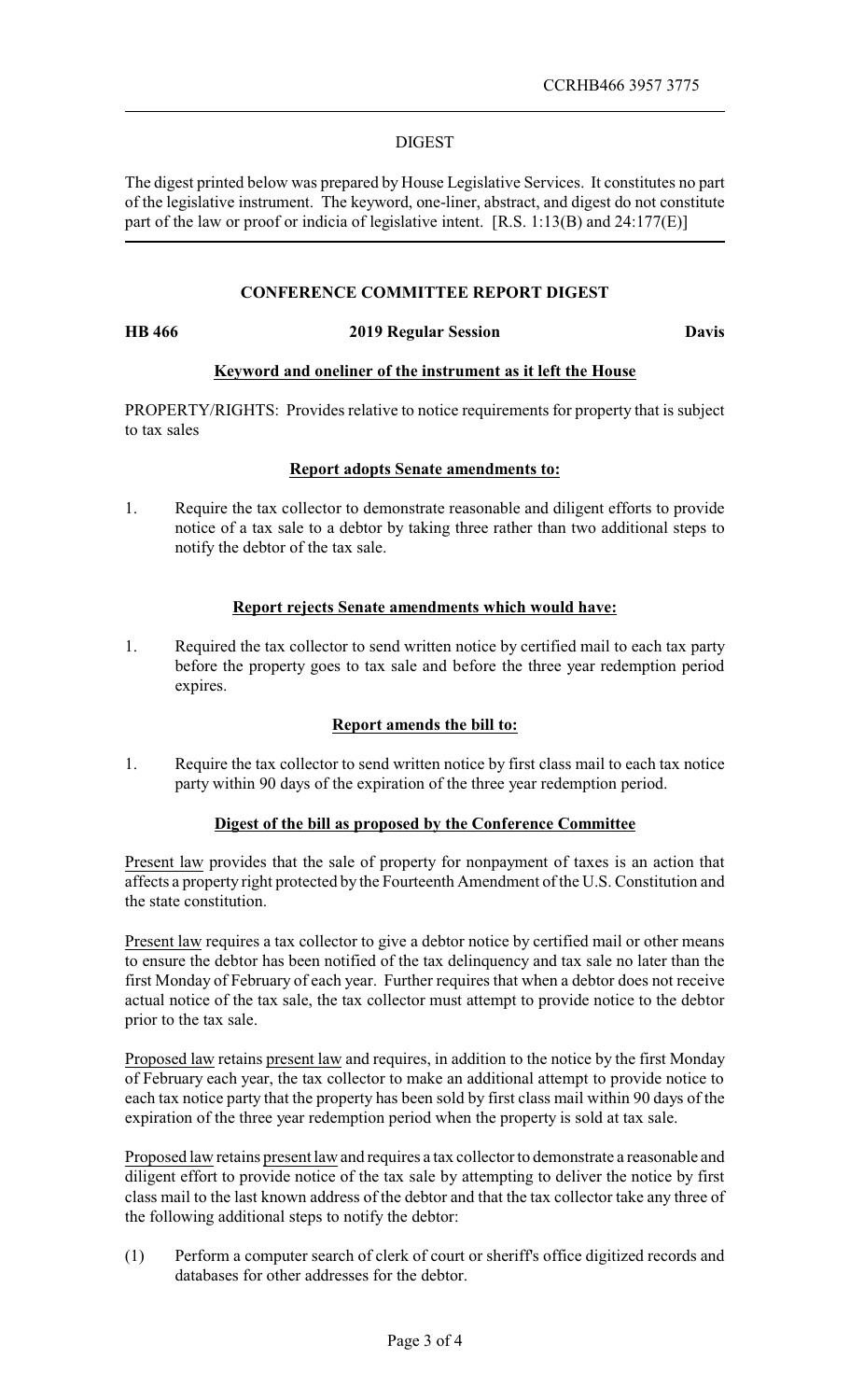## DIGEST

The digest printed below was prepared by House Legislative Services. It constitutes no part of the legislative instrument. The keyword, one-liner, abstract, and digest do not constitute part of the law or proof or indicia of legislative intent. [R.S. 1:13(B) and 24:177(E)]

# **CONFERENCE COMMITTEE REPORT DIGEST**

#### **HB 466 2019 Regular Session Davis**

# **Keyword and oneliner of the instrument as it left the House**

PROPERTY/RIGHTS: Provides relative to notice requirements for property that is subject to tax sales

## **Report adopts Senate amendments to:**

1. Require the tax collector to demonstrate reasonable and diligent efforts to provide notice of a tax sale to a debtor by taking three rather than two additional steps to notify the debtor of the tax sale.

## **Report rejects Senate amendments which would have:**

1. Required the tax collector to send written notice by certified mail to each tax party before the property goes to tax sale and before the three year redemption period expires.

# **Report amends the bill to:**

1. Require the tax collector to send written notice by first class mail to each tax notice party within 90 days of the expiration of the three year redemption period.

# **Digest of the bill as proposed by the Conference Committee**

Present law provides that the sale of property for nonpayment of taxes is an action that affects a property right protected by the Fourteenth Amendment of the U.S. Constitution and the state constitution.

Present law requires a tax collector to give a debtor notice by certified mail or other means to ensure the debtor has been notified of the tax delinquency and tax sale no later than the first Monday of February of each year. Further requires that when a debtor does not receive actual notice of the tax sale, the tax collector must attempt to provide notice to the debtor prior to the tax sale.

Proposed law retains present law and requires, in addition to the notice by the first Monday of February each year, the tax collector to make an additional attempt to provide notice to each tax notice party that the property has been sold by first class mail within 90 days of the expiration of the three year redemption period when the property is sold at tax sale.

Proposed law retains present law and requires a tax collector to demonstrate a reasonable and diligent effort to provide notice of the tax sale by attempting to deliver the notice by first class mail to the last known address of the debtor and that the tax collector take any three of the following additional steps to notify the debtor:

(1) Perform a computer search of clerk of court or sheriff's office digitized records and databases for other addresses for the debtor.